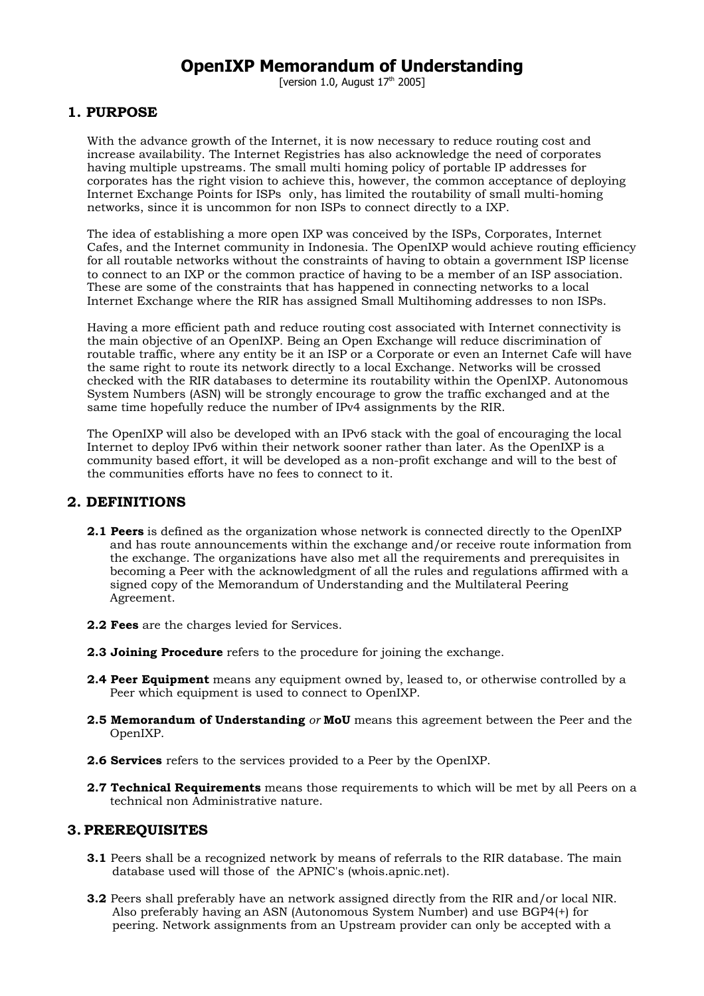# **OpenIXP Memorandum of Understanding**

[version 1.0, August  $17<sup>th</sup>$  2005]

# **1. PURPOSE**

With the advance growth of the Internet, it is now necessary to reduce routing cost and increase availability. The Internet Registries has also acknowledge the need of corporates having multiple upstreams. The small multi homing policy of portable IP addresses for corporates has the right vision to achieve this, however, the common acceptance of deploying Internet Exchange Points for ISPs only, has limited the routability of small multi-homing networks, since it is uncommon for non ISPs to connect directly to a IXP.

The idea of establishing a more open IXP was conceived by the ISPs, Corporates, Internet Cafes, and the Internet community in Indonesia. The OpenIXP would achieve routing efficiency for all routable networks without the constraints of having to obtain a government ISP license to connect to an IXP or the common practice of having to be a member of an ISP association. These are some of the constraints that has happened in connecting networks to a local Internet Exchange where the RIR has assigned Small Multihoming addresses to non ISPs.

Having a more efficient path and reduce routing cost associated with Internet connectivity is the main objective of an OpenIXP. Being an Open Exchange will reduce discrimination of routable traffic, where any entity be it an ISP or a Corporate or even an Internet Cafe will have the same right to route its network directly to a local Exchange. Networks will be crossed checked with the RIR databases to determine its routability within the OpenIXP. Autonomous System Numbers (ASN) will be strongly encourage to grow the traffic exchanged and at the same time hopefully reduce the number of IPv4 assignments by the RIR.

The OpenIXP will also be developed with an IPv6 stack with the goal of encouraging the local Internet to deploy IPv6 within their network sooner rather than later. As the OpenIXP is a community based effort, it will be developed as a non-profit exchange and will to the best of the communities efforts have no fees to connect to it.

### **2. DEFINITIONS**

- **2.1 Peers** is defined as the organization whose network is connected directly to the OpenIXP and has route announcements within the exchange and/or receive route information from the exchange. The organizations have also met all the requirements and prerequisites in becoming a Peer with the acknowledgment of all the rules and regulations affirmed with a signed copy of the Memorandum of Understanding and the Multilateral Peering Agreement.
- **2.2 Fees** are the charges levied for Services.
- **2.3 Joining Procedure** refers to the procedure for joining the exchange.
- **2.4 Peer Equipment** means any equipment owned by, leased to, or otherwise controlled by a Peer which equipment is used to connect to OpenIXP.
- **2.5 Memorandum of Understanding** *or* **MoU** means this agreement between the Peer and the OpenIXP.
- **2.6 Services** refers to the services provided to a Peer by the OpenIXP.
- **2.7 Technical Requirements** means those requirements to which will be met by all Peers on a technical non Administrative nature.

#### **3. PREREQUISITES**

- **3.1** Peers shall be a recognized network by means of referrals to the RIR database. The main database used will those of the APNIC's (whois.apnic.net).
- **3.2** Peers shall preferably have an network assigned directly from the RIR and/or local NIR. Also preferably having an ASN (Autonomous System Number) and use BGP4(+) for peering. Network assignments from an Upstream provider can only be accepted with a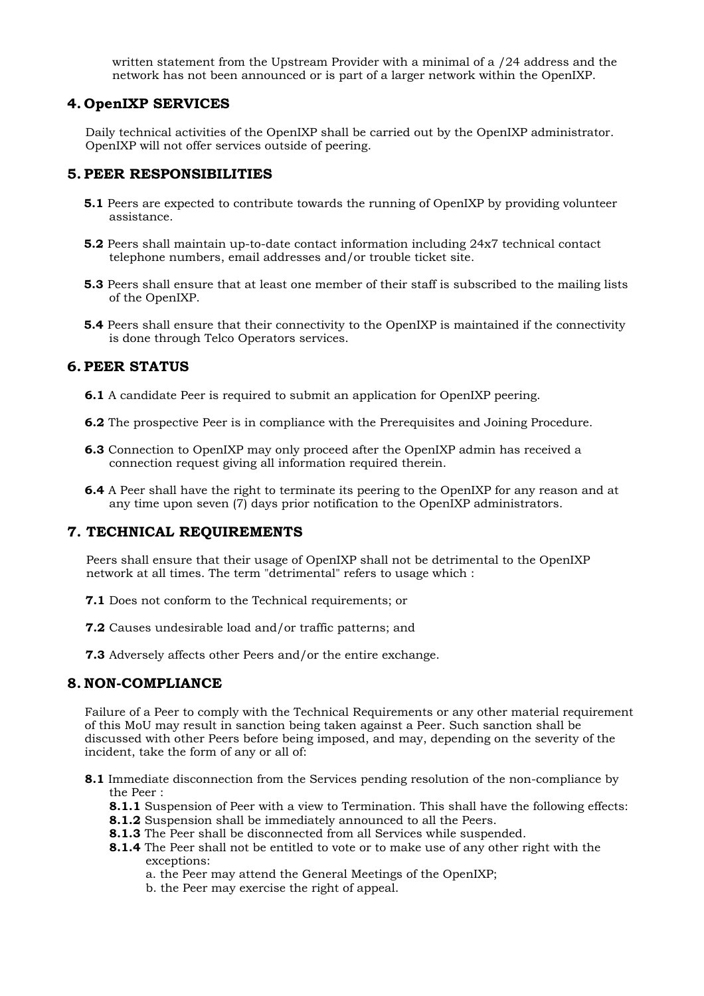written statement from the Upstream Provider with a minimal of a /24 address and the network has not been announced or is part of a larger network within the OpenIXP.

### **4. OpenIXP SERVICES**

Daily technical activities of the OpenIXP shall be carried out by the OpenIXP administrator. OpenIXP will not offer services outside of peering.

## **5. PEER RESPONSIBILITIES**

- **5.1** Peers are expected to contribute towards the running of OpenIXP by providing volunteer assistance.
- **5.2** Peers shall maintain up-to-date contact information including 24x7 technical contact telephone numbers, email addresses and/or trouble ticket site.
- **5.3** Peers shall ensure that at least one member of their staff is subscribed to the mailing lists of the OpenIXP.
- **5.4** Peers shall ensure that their connectivity to the OpenIXP is maintained if the connectivity is done through Telco Operators services.

## **6. PEER STATUS**

- **6.1** A candidate Peer is required to submit an application for OpenIXP peering.
- **6.2** The prospective Peer is in compliance with the Prerequisites and Joining Procedure.
- **6.3** Connection to OpenIXP may only proceed after the OpenIXP admin has received a connection request giving all information required therein.
- **6.4** A Peer shall have the right to terminate its peering to the OpenIXP for any reason and at any time upon seven (7) days prior notification to the OpenIXP administrators.

# **7. TECHNICAL REQUIREMENTS**

Peers shall ensure that their usage of OpenIXP shall not be detrimental to the OpenIXP network at all times. The term "detrimental" refers to usage which :

- **7.1** Does not conform to the Technical requirements; or
- **7.2** Causes undesirable load and/or traffic patterns; and
- **7.3** Adversely affects other Peers and/or the entire exchange.

# **8. NON-COMPLIANCE**

Failure of a Peer to comply with the Technical Requirements or any other material requirement of this MoU may result in sanction being taken against a Peer. Such sanction shall be discussed with other Peers before being imposed, and may, depending on the severity of the incident, take the form of any or all of:

- **8.1** Immediate disconnection from the Services pending resolution of the non-compliance by the Peer :
	- **8.1.1** Suspension of Peer with a view to Termination. This shall have the following effects:
	- **8.1.2** Suspension shall be immediately announced to all the Peers.
	- **8.1.3** The Peer shall be disconnected from all Services while suspended.
	- **8.1.4** The Peer shall not be entitled to vote or to make use of any other right with the exceptions:
		- a. the Peer may attend the General Meetings of the OpenIXP;
		- b. the Peer may exercise the right of appeal.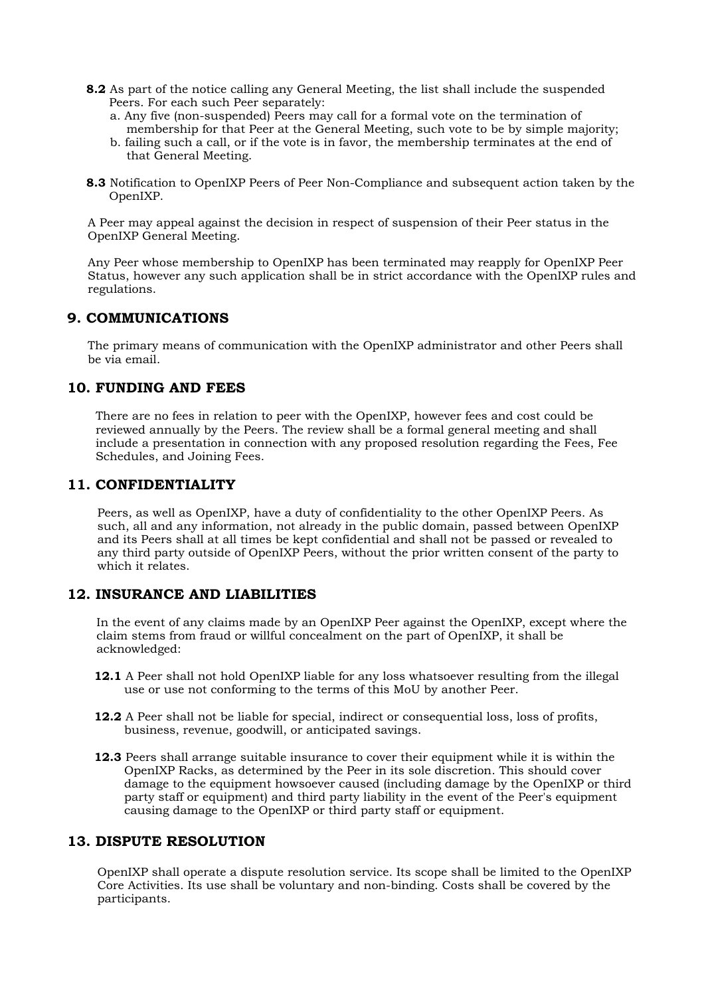- **8.2** As part of the notice calling any General Meeting, the list shall include the suspended Peers. For each such Peer separately:
	- a. Any five (non-suspended) Peers may call for a formal vote on the termination of membership for that Peer at the General Meeting, such vote to be by simple majority;
	- b. failing such a call, or if the vote is in favor, the membership terminates at the end of that General Meeting.
- **8.3** Notification to OpenIXP Peers of Peer Non-Compliance and subsequent action taken by the OpenIXP.

A Peer may appeal against the decision in respect of suspension of their Peer status in the OpenIXP General Meeting.

Any Peer whose membership to OpenIXP has been terminated may reapply for OpenIXP Peer Status, however any such application shall be in strict accordance with the OpenIXP rules and regulations.

## **9. COMMUNICATIONS**

The primary means of communication with the OpenIXP administrator and other Peers shall be via email.

## **10. FUNDING AND FEES**

There are no fees in relation to peer with the OpenIXP, however fees and cost could be reviewed annually by the Peers. The review shall be a formal general meeting and shall include a presentation in connection with any proposed resolution regarding the Fees, Fee Schedules, and Joining Fees.

## **11. CONFIDENTIALITY**

Peers, as well as OpenIXP, have a duty of confidentiality to the other OpenIXP Peers. As such, all and any information, not already in the public domain, passed between OpenIXP and its Peers shall at all times be kept confidential and shall not be passed or revealed to any third party outside of OpenIXP Peers, without the prior written consent of the party to which it relates.

## **12. INSURANCE AND LIABILITIES**

In the event of any claims made by an OpenIXP Peer against the OpenIXP, except where the claim stems from fraud or willful concealment on the part of OpenIXP, it shall be acknowledged:

- **12.1** A Peer shall not hold OpenIXP liable for any loss whatsoever resulting from the illegal use or use not conforming to the terms of this MoU by another Peer.
- **12.2** A Peer shall not be liable for special, indirect or consequential loss, loss of profits, business, revenue, goodwill, or anticipated savings.
- **12.3** Peers shall arrange suitable insurance to cover their equipment while it is within the OpenIXP Racks, as determined by the Peer in its sole discretion. This should cover damage to the equipment howsoever caused (including damage by the OpenIXP or third party staff or equipment) and third party liability in the event of the Peer's equipment causing damage to the OpenIXP or third party staff or equipment.

#### **13. DISPUTE RESOLUTION**

OpenIXP shall operate a dispute resolution service. Its scope shall be limited to the OpenIXP Core Activities. Its use shall be voluntary and non-binding. Costs shall be covered by the participants.